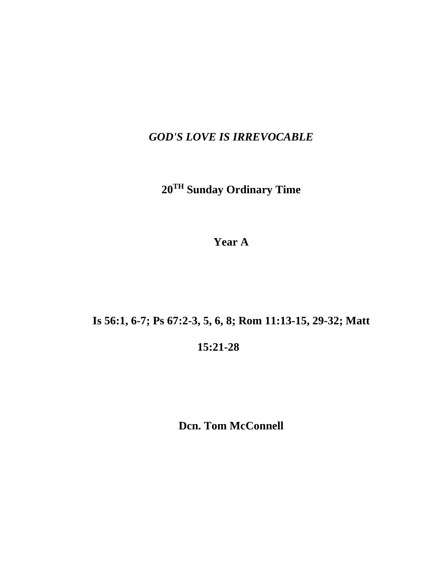*GOD'S LOVE IS IRREVOCABLE*

**20TH Sunday Ordinary Time**

**Year A**

**Is 56:1, 6-7; Ps 67:2-3, 5, 6, 8; Rom 11:13-15, 29-32; Matt**

**15:21-28**

**Dcn. Tom McConnell**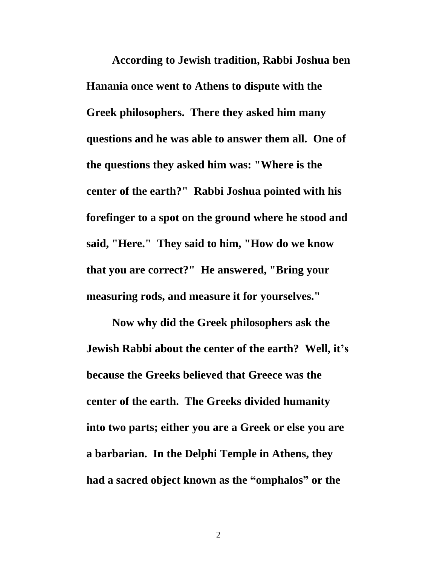**According to Jewish tradition, Rabbi Joshua ben Hanania once went to Athens to dispute with the Greek philosophers. There they asked him many questions and he was able to answer them all. One of the questions they asked him was: "Where is the center of the earth?" Rabbi Joshua pointed with his forefinger to a spot on the ground where he stood and said, "Here." They said to him, "How do we know that you are correct?" He answered, "Bring your measuring rods, and measure it for yourselves."**

**Now why did the Greek philosophers ask the Jewish Rabbi about the center of the earth? Well, it's because the Greeks believed that Greece was the center of the earth. The Greeks divided humanity into two parts; either you are a Greek or else you are a barbarian. In the Delphi Temple in Athens, they had a sacred object known as the "omphalos" or the** 

2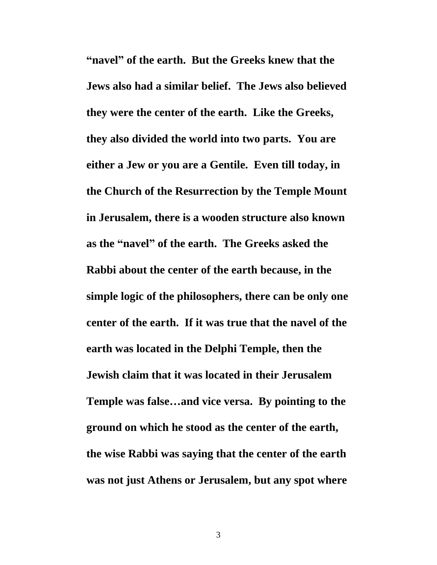**"navel" of the earth. But the Greeks knew that the Jews also had a similar belief. The Jews also believed they were the center of the earth. Like the Greeks, they also divided the world into two parts. You are either a Jew or you are a Gentile. Even till today, in the Church of the Resurrection by the Temple Mount in Jerusalem, there is a wooden structure also known as the "navel" of the earth. The Greeks asked the Rabbi about the center of the earth because, in the simple logic of the philosophers, there can be only one center of the earth. If it was true that the navel of the earth was located in the Delphi Temple, then the Jewish claim that it was located in their Jerusalem Temple was false…and vice versa. By pointing to the ground on which he stood as the center of the earth, the wise Rabbi was saying that the center of the earth was not just Athens or Jerusalem, but any spot where**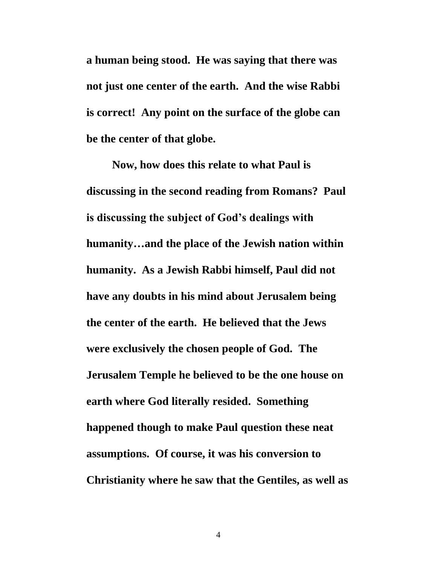**a human being stood. He was saying that there was not just one center of the earth. And the wise Rabbi is correct! Any point on the surface of the globe can be the center of that globe.**

**Now, how does this relate to what Paul is discussing in the second reading from Romans? Paul is discussing the subject of God's dealings with humanity…and the place of the Jewish nation within humanity. As a Jewish Rabbi himself, Paul did not have any doubts in his mind about Jerusalem being the center of the earth. He believed that the Jews were exclusively the chosen people of God. The Jerusalem Temple he believed to be the one house on earth where God literally resided. Something happened though to make Paul question these neat assumptions. Of course, it was his conversion to Christianity where he saw that the Gentiles, as well as**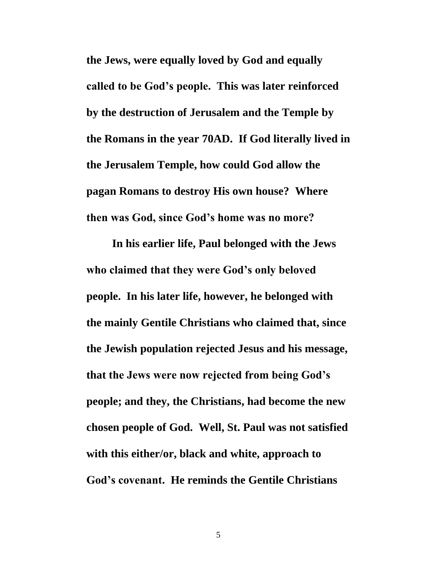**the Jews, were equally loved by God and equally called to be God's people. This was later reinforced by the destruction of Jerusalem and the Temple by the Romans in the year 70AD. If God literally lived in the Jerusalem Temple, how could God allow the pagan Romans to destroy His own house? Where then was God, since God's home was no more?**

**In his earlier life, Paul belonged with the Jews who claimed that they were God's only beloved people. In his later life, however, he belonged with the mainly Gentile Christians who claimed that, since the Jewish population rejected Jesus and his message, that the Jews were now rejected from being God's people; and they, the Christians, had become the new chosen people of God. Well, St. Paul was not satisfied with this either/or, black and white, approach to God's covenant. He reminds the Gentile Christians**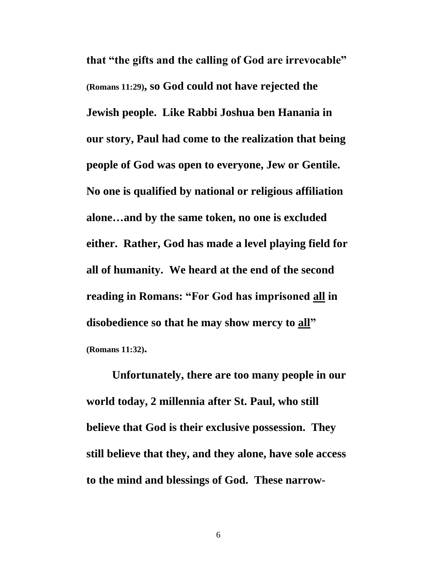**that "the gifts and the calling of God are irrevocable" (Romans 11:29), so God could not have rejected the Jewish people. Like Rabbi Joshua ben Hanania in our story, Paul had come to the realization that being people of God was open to everyone, Jew or Gentile. No one is qualified by national or religious affiliation alone…and by the same token, no one is excluded either. Rather, God has made a level playing field for all of humanity. We heard at the end of the second reading in Romans: "For God has imprisoned all in disobedience so that he may show mercy to all" (Romans 11:32).**

**Unfortunately, there are too many people in our world today, 2 millennia after St. Paul, who still believe that God is their exclusive possession. They still believe that they, and they alone, have sole access to the mind and blessings of God. These narrow-**

6